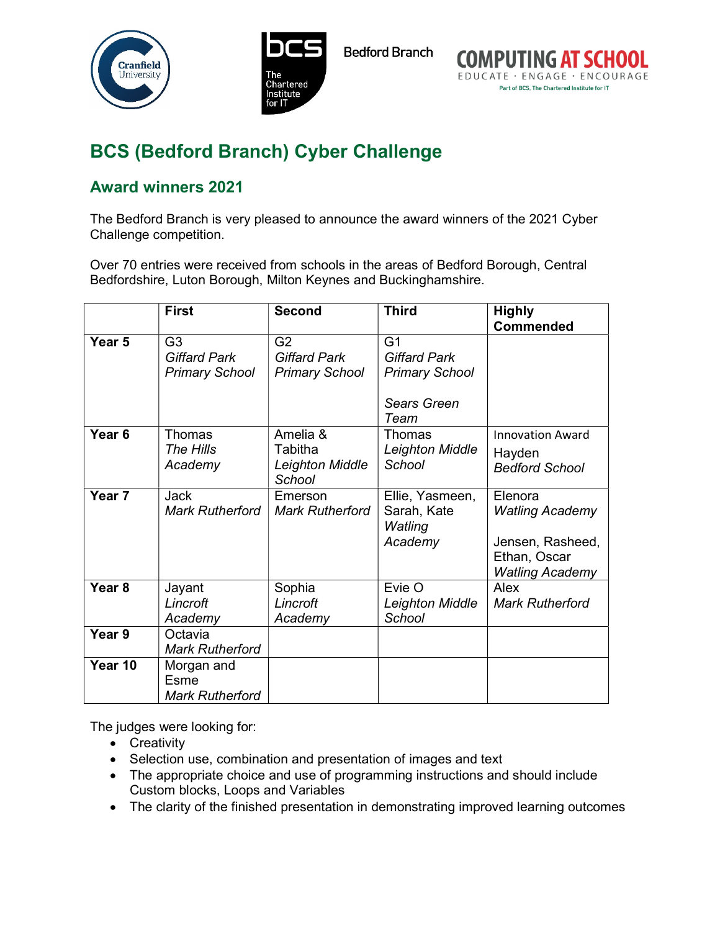





## BCS (Bedford Branch) Cyber Challenge

## Award winners 2021

The Bedford Branch is very pleased to announce the award winners of the 2021 Cyber Challenge competition.

Over 70 entries were received from schools in the areas of Bedford Borough, Central Bedfordshire, Luton Borough, Milton Keynes and Buckinghamshire.

|                   | <b>First</b>           | <b>Second</b>          | <b>Third</b>           | <b>Highly</b>           |
|-------------------|------------------------|------------------------|------------------------|-------------------------|
|                   |                        |                        |                        | <b>Commended</b>        |
| Year <sub>5</sub> | G <sub>3</sub>         | G <sub>2</sub>         | G <sub>1</sub>         |                         |
|                   | <b>Giffard Park</b>    | <b>Giffard Park</b>    | <b>Giffard Park</b>    |                         |
|                   | <b>Primary School</b>  | <b>Primary School</b>  | <b>Primary School</b>  |                         |
|                   |                        |                        |                        |                         |
|                   |                        |                        | <b>Sears Green</b>     |                         |
|                   |                        |                        | Team                   |                         |
| Year 6            | Thomas                 | Amelia &               | <b>Thomas</b>          | <b>Innovation Award</b> |
|                   | The Hills              | Tabitha                | <b>Leighton Middle</b> | Hayden                  |
|                   | Academy                | Leighton Middle        | School                 | <b>Bedford School</b>   |
|                   |                        | School                 |                        |                         |
| Year <sub>7</sub> | Jack                   | Emerson                | Ellie, Yasmeen,        | Elenora                 |
|                   | <b>Mark Rutherford</b> | <b>Mark Rutherford</b> | Sarah, Kate<br>Watling | <b>Watling Academy</b>  |
|                   |                        |                        | Academy                | Jensen, Rasheed,        |
|                   |                        |                        |                        | Ethan, Oscar            |
|                   |                        |                        |                        | <b>Watling Academy</b>  |
| Year <sub>8</sub> | Jayant                 | Sophia                 | Evie O                 | Alex                    |
|                   | Lincroft               | Lincroft               | Leighton Middle        | <b>Mark Rutherford</b>  |
|                   | Academy                | Academy                | School                 |                         |
| Year 9            | Octavia                |                        |                        |                         |
|                   | <b>Mark Rutherford</b> |                        |                        |                         |
| Year 10           | Morgan and             |                        |                        |                         |
|                   | Esme                   |                        |                        |                         |
|                   | <b>Mark Rutherford</b> |                        |                        |                         |

The judges were looking for:

- Creativity
- Selection use, combination and presentation of images and text
- The appropriate choice and use of programming instructions and should include Custom blocks, Loops and Variables
- The clarity of the finished presentation in demonstrating improved learning outcomes